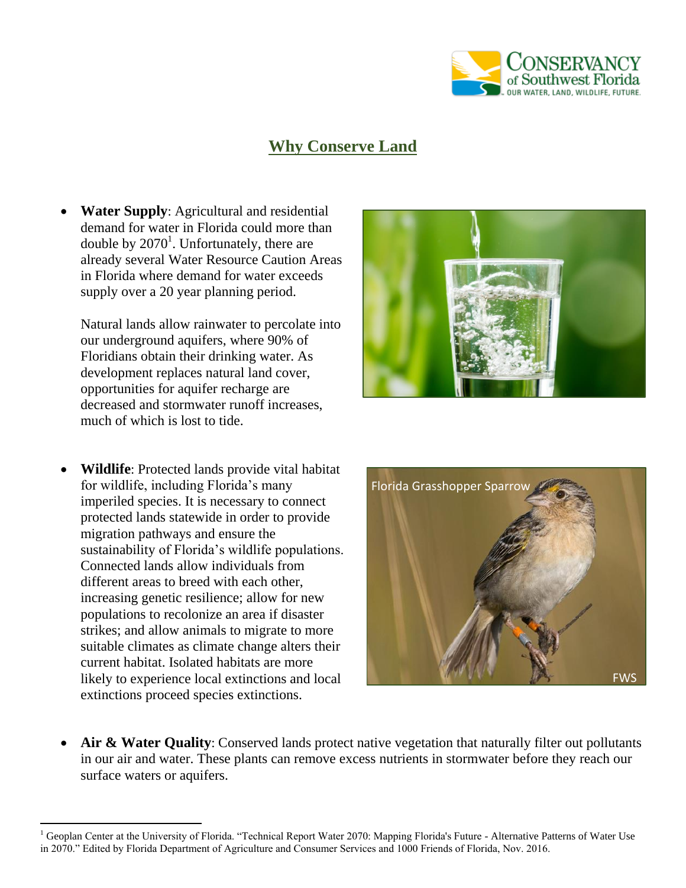

## **Why Conserve Land**

 **Water Supply**: Agricultural and residential demand for water in Florida could more than double by  $2070<sup>1</sup>$ . Unfortunately, there are already several Water Resource Caution Areas in Florida where demand for water exceeds supply over a 20 year planning period.

Natural lands allow rainwater to percolate into our underground aquifers, where 90% of Floridians obtain their drinking water. As development replaces natural land cover, opportunities for aquifer recharge are decreased and stormwater runoff increases, much of which is lost to tide.

 **Wildlife**: Protected lands provide vital habitat for wildlife, including Florida's many imperiled species. It is necessary to connect protected lands statewide in order to provide migration pathways and ensure the sustainability of Florida's wildlife populations. Connected lands allow individuals from different areas to breed with each other, increasing genetic resilience; allow for new populations to recolonize an area if disaster strikes; and allow animals to migrate to more suitable climates as climate change alters their current habitat. Isolated habitats are more likely to experience local extinctions and local extinctions proceed species extinctions.

 $\overline{a}$ 





 **Air & Water Quality**: Conserved lands protect native vegetation that naturally filter out pollutants in our air and water. These plants can remove excess nutrients in stormwater before they reach our surface waters or aquifers.

<sup>&</sup>lt;sup>1</sup> Geoplan Center at the University of Florida. "Technical Report Water 2070: Mapping Florida's Future - Alternative Patterns of Water Use in 2070." Edited by Florida Department of Agriculture and Consumer Services and 1000 Friends of Florida, Nov. 2016.